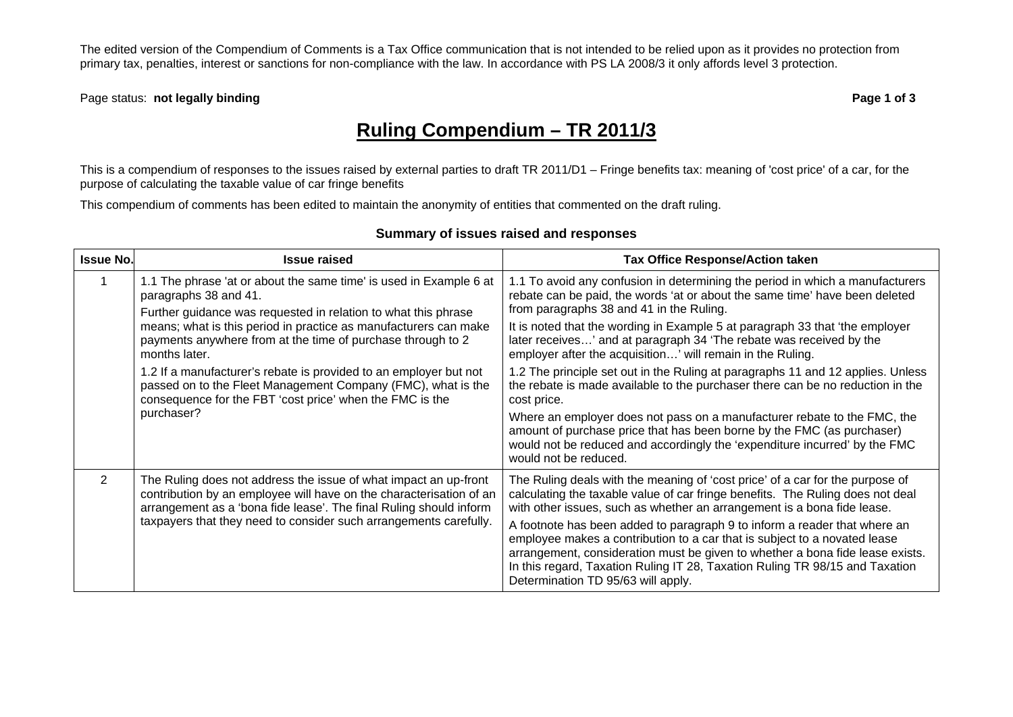The edited version of the Compendium of Comments is a Tax Office communication that is not intended to be relied upon as it provides no protection from primary tax, penalties, interest or sanctions for non-compliance with the law. In accordance with PS LA 2008/3 it only affords level 3 protection.

Page status: **not legally binding Page 1 of 3 Page 1 of 3** 

## **Ruling Compendium – TR 2011/3**

This is a compendium of responses to the issues raised by external parties to draft TR 2011/D1 – Fringe benefits tax: meaning of 'cost price' of a car, for the purpose of calculating the taxable value of car fringe benefits

This compendium of comments has been edited to maintain the anonymity of entities that commented on the draft ruling.

| <b>Issue No.</b> | <b>Issue raised</b>                                                                                                                                                                                                                                                                                                                                                                    | <b>Tax Office Response/Action taken</b>                                                                                                                                                                                                                                                                                                                                                                                                                                                                                                                                                                     |
|------------------|----------------------------------------------------------------------------------------------------------------------------------------------------------------------------------------------------------------------------------------------------------------------------------------------------------------------------------------------------------------------------------------|-------------------------------------------------------------------------------------------------------------------------------------------------------------------------------------------------------------------------------------------------------------------------------------------------------------------------------------------------------------------------------------------------------------------------------------------------------------------------------------------------------------------------------------------------------------------------------------------------------------|
|                  | 1.1 The phrase 'at or about the same time' is used in Example 6 at<br>paragraphs 38 and 41.<br>Further guidance was requested in relation to what this phrase<br>means; what is this period in practice as manufacturers can make<br>payments anywhere from at the time of purchase through to 2<br>months later.<br>1.2 If a manufacturer's rebate is provided to an employer but not | 1.1 To avoid any confusion in determining the period in which a manufacturers<br>rebate can be paid, the words 'at or about the same time' have been deleted<br>from paragraphs 38 and 41 in the Ruling.<br>It is noted that the wording in Example 5 at paragraph 33 that 'the employer<br>later receives' and at paragraph 34 'The rebate was received by the<br>employer after the acquisition' will remain in the Ruling.<br>1.2 The principle set out in the Ruling at paragraphs 11 and 12 applies. Unless                                                                                            |
|                  | passed on to the Fleet Management Company (FMC), what is the<br>consequence for the FBT 'cost price' when the FMC is the<br>purchaser?                                                                                                                                                                                                                                                 | the rebate is made available to the purchaser there can be no reduction in the<br>cost price.<br>Where an employer does not pass on a manufacturer rebate to the FMC, the<br>amount of purchase price that has been borne by the FMC (as purchaser)<br>would not be reduced and accordingly the 'expenditure incurred' by the FMC<br>would not be reduced.                                                                                                                                                                                                                                                  |
| $\overline{2}$   | The Ruling does not address the issue of what impact an up-front<br>contribution by an employee will have on the characterisation of an<br>arrangement as a 'bona fide lease'. The final Ruling should inform<br>taxpayers that they need to consider such arrangements carefully.                                                                                                     | The Ruling deals with the meaning of 'cost price' of a car for the purpose of<br>calculating the taxable value of car fringe benefits. The Ruling does not deal<br>with other issues, such as whether an arrangement is a bona fide lease.<br>A footnote has been added to paragraph 9 to inform a reader that where an<br>employee makes a contribution to a car that is subject to a novated lease<br>arrangement, consideration must be given to whether a bona fide lease exists.<br>In this regard, Taxation Ruling IT 28, Taxation Ruling TR 98/15 and Taxation<br>Determination TD 95/63 will apply. |

## **Summary of issues raised and responses**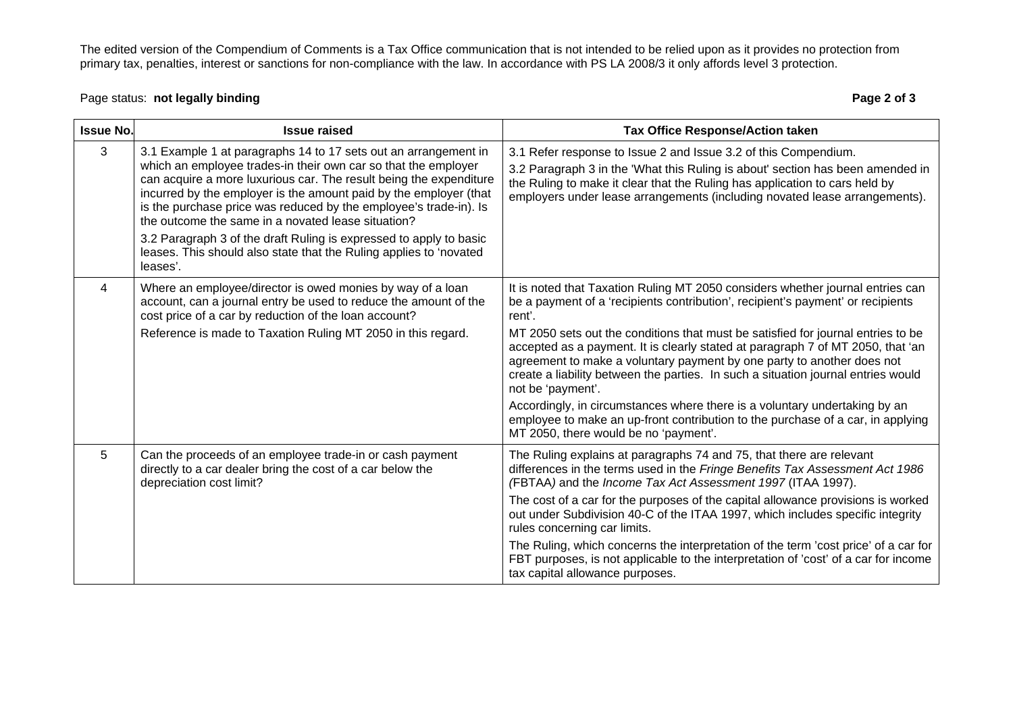The edited version of the Compendium of Comments is a Tax Office communication that is not intended to be relied upon as it provides no protection from primary tax, penalties, interest or sanctions for non-compliance with the law. In accordance with PS LA 2008/3 it only affords level 3 protection.

## Page status: **not legally binding Page 2 of 3 Page 2 of 3**

| <b>Issue No.</b> | <b>Issue raised</b>                                                                                                                                                                                                                                                                                                                                                                                     | <b>Tax Office Response/Action taken</b>                                                                                                                                                                                                                                                                                                                 |
|------------------|---------------------------------------------------------------------------------------------------------------------------------------------------------------------------------------------------------------------------------------------------------------------------------------------------------------------------------------------------------------------------------------------------------|---------------------------------------------------------------------------------------------------------------------------------------------------------------------------------------------------------------------------------------------------------------------------------------------------------------------------------------------------------|
| 3                | 3.1 Example 1 at paragraphs 14 to 17 sets out an arrangement in<br>which an employee trades-in their own car so that the employer<br>can acquire a more luxurious car. The result being the expenditure<br>incurred by the employer is the amount paid by the employer (that<br>is the purchase price was reduced by the employee's trade-in). Is<br>the outcome the same in a novated lease situation? | 3.1 Refer response to Issue 2 and Issue 3.2 of this Compendium.<br>3.2 Paragraph 3 in the 'What this Ruling is about' section has been amended in<br>the Ruling to make it clear that the Ruling has application to cars held by<br>employers under lease arrangements (including novated lease arrangements).                                          |
|                  | 3.2 Paragraph 3 of the draft Ruling is expressed to apply to basic<br>leases. This should also state that the Ruling applies to 'novated<br>leases'.                                                                                                                                                                                                                                                    |                                                                                                                                                                                                                                                                                                                                                         |
| 4                | Where an employee/director is owed monies by way of a loan<br>account, can a journal entry be used to reduce the amount of the<br>cost price of a car by reduction of the loan account?                                                                                                                                                                                                                 | It is noted that Taxation Ruling MT 2050 considers whether journal entries can<br>be a payment of a 'recipients contribution', recipient's payment' or recipients<br>rent'.                                                                                                                                                                             |
|                  | Reference is made to Taxation Ruling MT 2050 in this regard.                                                                                                                                                                                                                                                                                                                                            | MT 2050 sets out the conditions that must be satisfied for journal entries to be<br>accepted as a payment. It is clearly stated at paragraph 7 of MT 2050, that 'an<br>agreement to make a voluntary payment by one party to another does not<br>create a liability between the parties. In such a situation journal entries would<br>not be 'payment'. |
|                  |                                                                                                                                                                                                                                                                                                                                                                                                         | Accordingly, in circumstances where there is a voluntary undertaking by an<br>employee to make an up-front contribution to the purchase of a car, in applying<br>MT 2050, there would be no 'payment'.                                                                                                                                                  |
| 5                | Can the proceeds of an employee trade-in or cash payment<br>directly to a car dealer bring the cost of a car below the<br>depreciation cost limit?                                                                                                                                                                                                                                                      | The Ruling explains at paragraphs 74 and 75, that there are relevant<br>differences in the terms used in the Fringe Benefits Tax Assessment Act 1986<br>(FBTAA) and the Income Tax Act Assessment 1997 (ITAA 1997).                                                                                                                                     |
|                  |                                                                                                                                                                                                                                                                                                                                                                                                         | The cost of a car for the purposes of the capital allowance provisions is worked<br>out under Subdivision 40-C of the ITAA 1997, which includes specific integrity<br>rules concerning car limits.                                                                                                                                                      |
|                  |                                                                                                                                                                                                                                                                                                                                                                                                         | The Ruling, which concerns the interpretation of the term 'cost price' of a car for<br>FBT purposes, is not applicable to the interpretation of 'cost' of a car for income<br>tax capital allowance purposes.                                                                                                                                           |